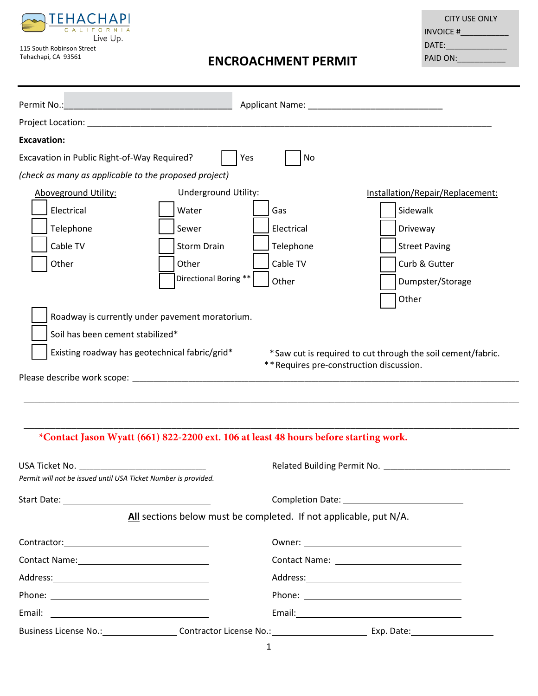

115 South Robinson Street Tehachapi, CA 93561

# **ENCROACHMENT PERMIT**

| <b>CITY USE ONLY</b> |
|----------------------|
| INVOICE #            |
| DATE:                |
| PAID ON:             |

|                                                                             |                                                       |                             | Applicant Name: Name and Applicant Name and Applicant Name and Applicant Manual Applicant Manual Applicant Manual Applicant Manual Applicant Manual Applicant Manual Applicant Manual Applicant Manual Applicant Manual Applic |                                                             |  |
|-----------------------------------------------------------------------------|-------------------------------------------------------|-----------------------------|--------------------------------------------------------------------------------------------------------------------------------------------------------------------------------------------------------------------------------|-------------------------------------------------------------|--|
|                                                                             |                                                       |                             |                                                                                                                                                                                                                                |                                                             |  |
| <b>Excavation:</b>                                                          |                                                       |                             |                                                                                                                                                                                                                                |                                                             |  |
| Excavation in Public Right-of-Way Required?<br><b>Yes</b><br>N <sub>o</sub> |                                                       |                             |                                                                                                                                                                                                                                |                                                             |  |
|                                                                             | (check as many as applicable to the proposed project) |                             |                                                                                                                                                                                                                                |                                                             |  |
|                                                                             | <b>Aboveground Utility:</b>                           | <b>Underground Utility:</b> |                                                                                                                                                                                                                                | Installation/Repair/Replacement:                            |  |
|                                                                             | Electrical                                            | Water                       | Gas                                                                                                                                                                                                                            | Sidewalk                                                    |  |
|                                                                             | Telephone                                             | Sewer                       | Electrical                                                                                                                                                                                                                     | Driveway                                                    |  |
|                                                                             | Cable TV                                              | <b>Storm Drain</b>          | Telephone                                                                                                                                                                                                                      | <b>Street Paving</b>                                        |  |
|                                                                             | Other                                                 | Other                       | Cable TV                                                                                                                                                                                                                       | Curb & Gutter                                               |  |
|                                                                             |                                                       | Directional Boring **       | Other                                                                                                                                                                                                                          | Dumpster/Storage                                            |  |
|                                                                             |                                                       |                             |                                                                                                                                                                                                                                | Other                                                       |  |
| Roadway is currently under pavement moratorium.                             |                                                       |                             |                                                                                                                                                                                                                                |                                                             |  |
|                                                                             | Soil has been cement stabilized*                      |                             |                                                                                                                                                                                                                                |                                                             |  |
| Existing roadway has geotechnical fabric/grid*                              |                                                       |                             | ** Requires pre-construction discussion.                                                                                                                                                                                       | *Saw cut is required to cut through the soil cement/fabric. |  |
| Please describe work scope:                                                 |                                                       |                             |                                                                                                                                                                                                                                |                                                             |  |

\_\_\_\_\_\_\_\_\_\_\_\_\_\_\_\_\_\_\_\_\_\_\_\_\_\_\_\_\_\_\_\_\_\_\_\_\_\_\_\_\_\_\_\_\_\_\_\_\_\_\_\_\_\_\_\_\_\_\_\_\_\_\_\_\_\_\_\_\_\_\_\_\_\_\_\_\_\_\_\_\_\_\_\_\_\_\_\_\_\_\_\_\_\_

\_\_\_\_\_\_\_\_\_\_\_\_\_\_\_\_\_\_\_\_\_\_\_\_\_\_\_\_\_\_\_\_\_\_\_\_\_\_\_\_\_\_\_\_\_\_\_\_\_\_\_\_\_\_\_\_\_\_\_\_\_\_\_\_\_\_\_\_\_\_\_\_\_\_\_\_\_\_\_\_\_\_\_\_\_\_\_\_\_\_\_\_\_\_

## **\*Contact Jason Wyatt (661) 822-2200 ext. 106 at least 48 hours before starting work.**

| USA Ticket No. ______________________________<br>Permit will not be issued until USA Ticket Number is provided. |                                                                   |
|-----------------------------------------------------------------------------------------------------------------|-------------------------------------------------------------------|
|                                                                                                                 |                                                                   |
|                                                                                                                 | All sections below must be completed. If not applicable, put N/A. |
|                                                                                                                 |                                                                   |
|                                                                                                                 |                                                                   |
|                                                                                                                 |                                                                   |
|                                                                                                                 |                                                                   |
|                                                                                                                 |                                                                   |
| Business License No.: Contractor License No.: Exp. Date: Exp. Date:                                             |                                                                   |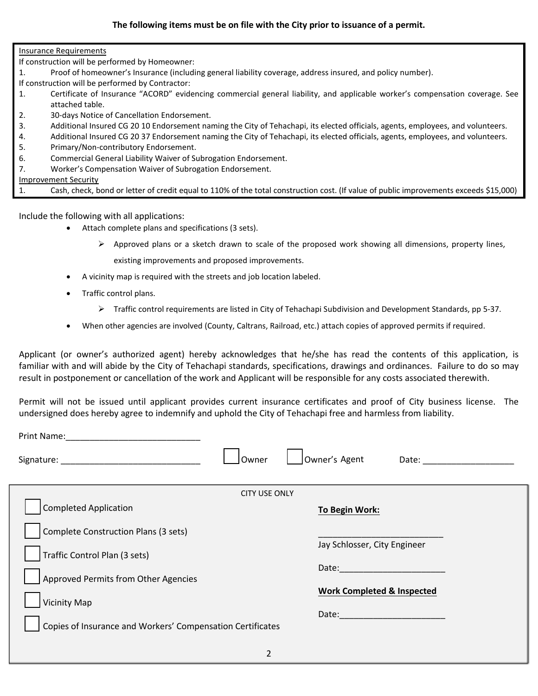Insurance Requirements

If construction will be performed by Homeowner:

- 1. Proof of homeowner's Insurance (including general liability coverage, address insured, and policy number).
- If construction will be performed by Contractor:
- 1. Certificate of Insurance "ACORD" evidencing commercial general liability, and applicable worker's compensation coverage. See attached table.
- 2. 30-days Notice of Cancellation Endorsement.
- 3. Additional Insured CG 20 10 Endorsement naming the City of Tehachapi, its elected officials, agents, employees, and volunteers.
- 4. Additional Insured CG 20 37 Endorsement naming the City of Tehachapi, its elected officials, agents, employees, and volunteers.
- 5. Primary/Non-contributory Endorsement.
- 6. Commercial General Liability Waiver of Subrogation Endorsement.
- 7. Worker's Compensation Waiver of Subrogation Endorsement.

Improvement Security

|  |  |  | Cash, check, bond or letter of credit equal to 110% of the total construction cost. (If value of public improvements exceeds \$15,000) |  |
|--|--|--|----------------------------------------------------------------------------------------------------------------------------------------|--|
|--|--|--|----------------------------------------------------------------------------------------------------------------------------------------|--|

Include the following with all applications:

- Attach complete plans and specifications (3 sets).
	- $\triangleright$  Approved plans or a sketch drawn to scale of the proposed work showing all dimensions, property lines, existing improvements and proposed improvements.
- A vicinity map is required with the streets and job location labeled.
- Traffic control plans.
	- Traffic control requirements are listed in City of Tehachapi Subdivision and Development Standards, pp 5-37.
- When other agencies are involved (County, Caltrans, Railroad, etc.) attach copies of approved permits if required.

Applicant (or owner's authorized agent) hereby acknowledges that he/she has read the contents of this application, is familiar with and will abide by the City of Tehachapi standards, specifications, drawings and ordinances. Failure to do so may result in postponement or cancellation of the work and Applicant will be responsible for any costs associated therewith.

Permit will not be issued until applicant provides current insurance certificates and proof of City business license. The undersigned does hereby agree to indemnify and uphold the City of Tehachapi free and harmless from liability.

| Print Name:                                                |                      |                                       |
|------------------------------------------------------------|----------------------|---------------------------------------|
|                                                            | Owner                | Owner's Agent<br>Date:                |
|                                                            | <b>CITY USE ONLY</b> |                                       |
| <b>Completed Application</b>                               |                      | <b>To Begin Work:</b>                 |
| Complete Construction Plans (3 sets)                       |                      |                                       |
| Traffic Control Plan (3 sets)                              |                      | Jay Schlosser, City Engineer          |
| Approved Permits from Other Agencies                       |                      | Date:                                 |
| <b>Vicinity Map</b>                                        |                      | <b>Work Completed &amp; Inspected</b> |
| Copies of Insurance and Workers' Compensation Certificates |                      | Date: Date:                           |
|                                                            |                      |                                       |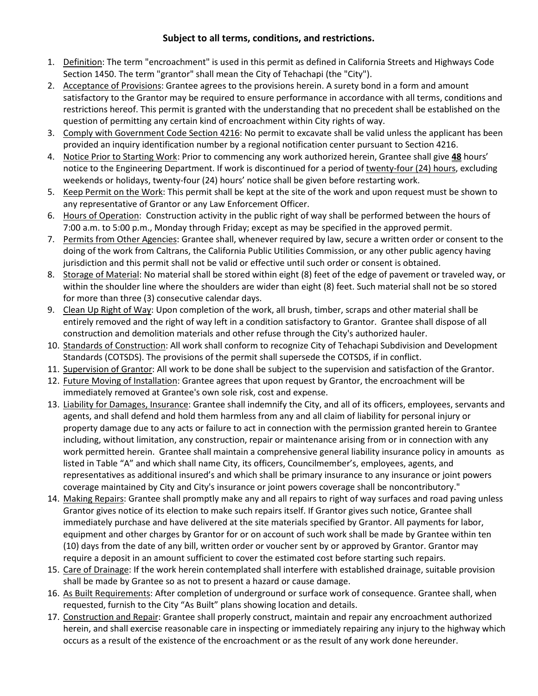#### **Subject to all terms, conditions, and restrictions.**

- 1. Definition: The term "encroachment" is used in this permit as defined in California Streets and Highways Code Section 1450. The term "grantor" shall mean the City of Tehachapi (the "City").
- 2. Acceptance of Provisions: Grantee agrees to the provisions herein. A surety bond in a form and amount satisfactory to the Grantor may be required to ensure performance in accordance with all terms, conditions and restrictions hereof. This permit is granted with the understanding that no precedent shall be established on the question of permitting any certain kind of encroachment within City rights of way.
- 3. Comply with Government Code Section 4216: No permit to excavate shall be valid unless the applicant has been provided an inquiry identification number by a regional notification center pursuant to Section 4216.
- 4. Notice Prior to Starting Work: Prior to commencing any work authorized herein, Grantee shall give **48** hours' notice to the Engineering Department. If work is discontinued for a period of twenty-four (24) hours, excluding weekends or holidays, twenty-four (24) hours' notice shall be given before restarting work.
- 5. Keep Permit on the Work: This permit shall be kept at the site of the work and upon request must be shown to any representative of Grantor or any Law Enforcement Officer.
- 6. Hours of Operation: Construction activity in the public right of way shall be performed between the hours of 7:00 a.m. to 5:00 p.m., Monday through Friday; except as may be specified in the approved permit.
- 7. Permits from Other Agencies: Grantee shall, whenever required by law, secure a written order or consent to the doing of the work from Caltrans, the California Public Utilities Commission, or any other public agency having jurisdiction and this permit shall not be valid or effective until such order or consent is obtained.
- 8. Storage of Material: No material shall be stored within eight (8) feet of the edge of pavement or traveled way, or within the shoulder line where the shoulders are wider than eight (8) feet. Such material shall not be so stored for more than three (3) consecutive calendar days.
- 9. Clean Up Right of Way: Upon completion of the work, all brush, timber, scraps and other material shall be entirely removed and the right of way left in a condition satisfactory to Grantor. Grantee shall dispose of all construction and demolition materials and other refuse through the City's authorized hauler.
- 10. Standards of Construction: All work shall conform to recognize City of Tehachapi Subdivision and Development Standards (COTSDS). The provisions of the permit shall supersede the COTSDS, if in conflict.
- 11. Supervision of Grantor: All work to be done shall be subject to the supervision and satisfaction of the Grantor.
- 12. Future Moving of Installation: Grantee agrees that upon request by Grantor, the encroachment will be immediately removed at Grantee's own sole risk, cost and expense.
- 13. Liability for Damages, Insurance: Grantee shall indemnify the City, and all of its officers, employees, servants and agents, and shall defend and hold them harmless from any and all claim of liability for personal injury or property damage due to any acts or failure to act in connection with the permission granted herein to Grantee including, without limitation, any construction, repair or maintenance arising from or in connection with any work permitted herein. Grantee shall maintain a comprehensive general liability insurance policy in amounts as listed in Table "A" and which shall name City, its officers, Councilmember's, employees, agents, and representatives as additional insured's and which shall be primary insurance to any insurance or joint powers coverage maintained by City and City's insurance or joint powers coverage shall be noncontributory."
- 14. Making Repairs: Grantee shall promptly make any and all repairs to right of way surfaces and road paving unless Grantor gives notice of its election to make such repairs itself. If Grantor gives such notice, Grantee shall immediately purchase and have delivered at the site materials specified by Grantor. All payments for labor, equipment and other charges by Grantor for or on account of such work shall be made by Grantee within ten (10) days from the date of any bill, written order or voucher sent by or approved by Grantor. Grantor may require a deposit in an amount sufficient to cover the estimated cost before starting such repairs.
- 15. Care of Drainage: If the work herein contemplated shall interfere with established drainage, suitable provision shall be made by Grantee so as not to present a hazard or cause damage.
- 16. As Built Requirements: After completion of underground or surface work of consequence. Grantee shall, when requested, furnish to the City "As Built" plans showing location and details.
- 17. Construction and Repair: Grantee shall properly construct, maintain and repair any encroachment authorized herein, and shall exercise reasonable care in inspecting or immediately repairing any injury to the highway which occurs as a result of the existence of the encroachment or as the result of any work done hereunder.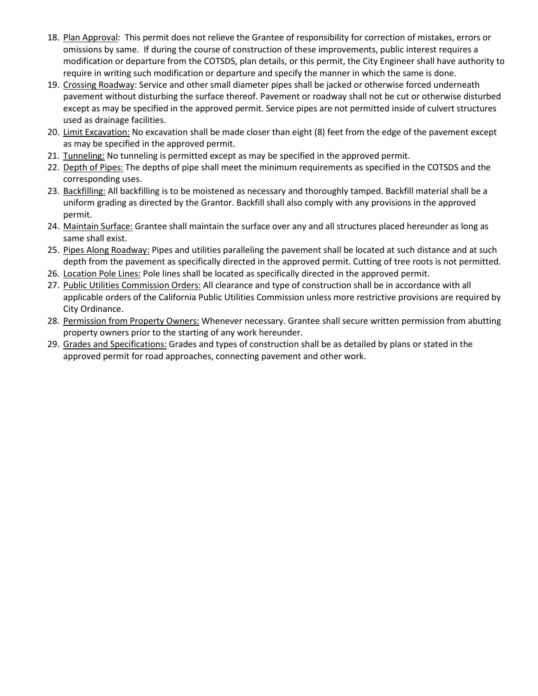- 18. Plan Approval: This permit does not relieve the Grantee of responsibility for correction of mistakes, errors or omissions by same. If during the course of construction of these improvements, public interest requires a modification or departure from the COTSDS, plan details, or this permit, the City Engineer shall have authority to require in writing such modification or departure and specify the manner in which the same is done.
- 19. Crossing Roadway: Service and other small diameter pipes shall be jacked or otherwise forced underneath pavement without disturbing the surface thereof. Pavement or roadway shall not be cut or otherwise disturbed except as may be specified in the approved permit. Service pipes are not permitted inside of culvert structures used as drainage facilities.
- 20. Limit Excavation: No excavation shall be made closer than eight (8) feet from the edge of the pavement except as may be specified in the approved permit.
- 21. Tunneling: No tunneling is permitted except as may be specified in the approved permit.
- 22. Depth of Pipes: The depths of pipe shall meet the minimum requirements as specified in the COTSDS and the corresponding uses.
- 23. Backfilling: All backfilling is to be moistened as necessary and thoroughly tamped. Backfill material shall be a uniform grading as directed by the Grantor. Backfill shall also comply with any provisions in the approved permit.
- 24. Maintain Surface: Grantee shall maintain the surface over any and all structures placed hereunder as long as same shall exist.
- 25. Pipes Along Roadway: Pipes and utilities paralleling the pavement shall be located at such distance and at such depth from the pavement as specifically directed in the approved permit. Cutting of tree roots is not permitted.
- 26. Location Pole Lines: Pole lines shall be located as specifically directed in the approved permit.
- 27. Public Utilities Commission Orders: All clearance and type of construction shall be in accordance with all applicable orders of the California Public Utilities Commission unless more restrictive provisions are required by City Ordinance.
- 28. Permission from Property Owners: Whenever necessary. Grantee shall secure written permission from abutting property owners prior to the starting of any work hereunder.
- 29. Grades and Specifications: Grades and types of construction shall be as detailed by plans or stated in the approved permit for road approaches, connecting pavement and other work.